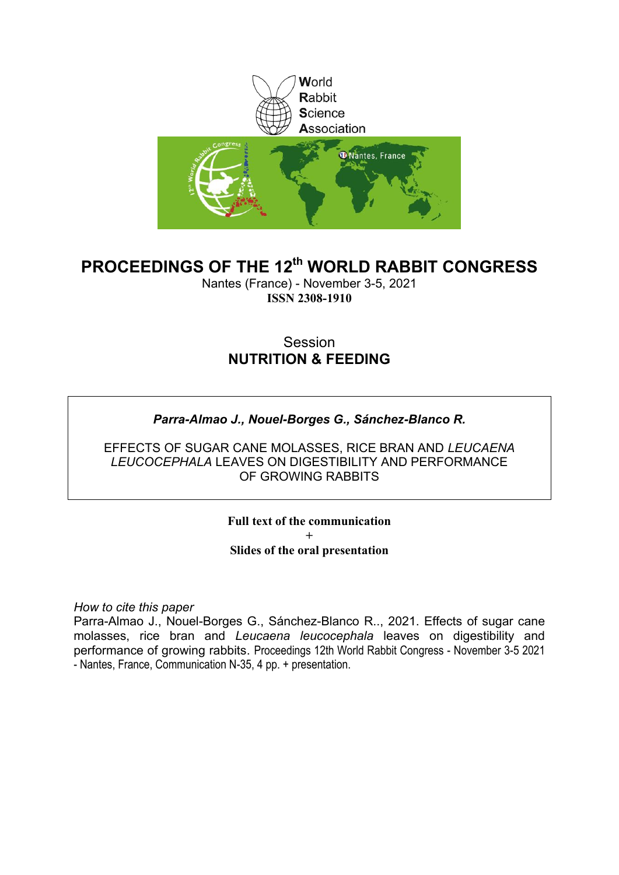

### **PROCEEDINGS OF THE 12th WORLD RABBIT CONGRESS**

Nantes (France) - November 3-5, 2021 **ISSN 2308-1910**

### Session **NUTRITION & FEEDING**

### *Parra-Almao J., Nouel-Borges G., Sánchez-Blanco R.*

EFFECTS OF SUGAR CANE MOLASSES, RICE BRAN AND *LEUCAENA LEUCOCEPHALA* LEAVES ON DIGESTIBILITY AND PERFORMANCE OF GROWING RABBITS

> **Full text of the communication + Slides of the oral presentation**

*How to cite this paper*

Parra-Almao J., Nouel-Borges G., Sánchez-Blanco R.., 2021. Effects of sugar cane molasses, rice bran and *Leucaena leucocephala* leaves on digestibility and performance of growing rabbits. Proceedings 12th World Rabbit Congress - November 3-5 2021 - Nantes, France, Communication N-35, 4 pp. + presentation.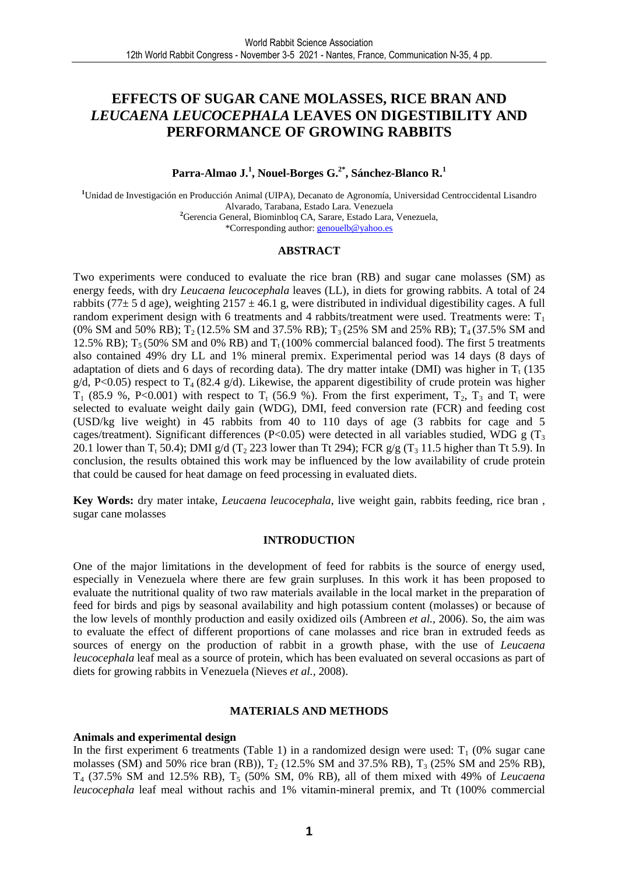### **EFFECTS OF SUGAR CANE MOLASSES, RICE BRAN AND**  *LEUCAENA LEUCOCEPHALA* **LEAVES ON DIGESTIBILITY AND PERFORMANCE OF GROWING RABBITS**

#### **Parra-Almao J.<sup>1</sup> , Nouel-Borges G.2\*, Sánchez-Blanco R.<sup>1</sup>**

**<sup>1</sup>**Unidad de Investigación en Producción Animal (UIPA), Decanato de Agronomía, Universidad Centroccidental Lisandro Alvarado, Tarabana, Estado Lara. Venezuela **<sup>2</sup>**Gerencia General, Biominbloq CA, Sarare, Estado Lara, Venezuela, \*Corresponding author: genouelb@yahoo.es

#### **ABSTRACT**

Two experiments were conduced to evaluate the rice bran (RB) and sugar cane molasses (SM) as energy feeds, with dry *Leucaena leucocephala* leaves (LL), in diets for growing rabbits. A total of 24 rabbits (77 $\pm$  5 d age), weighting 2157  $\pm$  46.1 g, were distributed in individual digestibility cages. A full random experiment design with 6 treatments and 4 rabbits/treatment were used. Treatments were:  $T_1$ (0% SM and 50% RB);  $T_2$  (12.5% SM and 37.5% RB);  $T_3$  (25% SM and 25% RB);  $T_4$  (37.5% SM and 12.5% RB);  $T_5$  (50% SM and 0% RB) and  $T_1$  (100% commercial balanced food). The first 5 treatments also contained 49% dry LL and 1% mineral premix. Experimental period was 14 days (8 days of adaptation of diets and 6 days of recording data). The dry matter intake (DMI) was higher in  $T_t$  (135  $g/d$ , P<0.05) respect to T<sub>4</sub> (82.4 g/d). Likewise, the apparent digestibility of crude protein was higher  $T_1$  (85.9 %, P<0.001) with respect to  $T_t$  (56.9 %). From the first experiment,  $T_2$ ,  $T_3$  and  $T_t$  were selected to evaluate weight daily gain (WDG), DMI, feed conversion rate (FCR) and feeding cost (USD/kg live weight) in 45 rabbits from 40 to 110 days of age (3 rabbits for cage and 5 cages/treatment). Significant differences (P<0.05) were detected in all variables studied, WDG g ( $T_3$ ) 20.1 lower than  $T_t$  50.4); DMI g/d ( $T_2$  223 lower than Tt 294); FCR g/g ( $T_3$  11.5 higher than Tt 5.9). In conclusion, the results obtained this work may be influenced by the low availability of crude protein that could be caused for heat damage on feed processing in evaluated diets.

**Key Words:** dry mater intake, *Leucaena leucocephala*, live weight gain, rabbits feeding, rice bran , sugar cane molasses

#### **INTRODUCTION**

One of the major limitations in the development of feed for rabbits is the source of energy used, especially in Venezuela where there are few grain surpluses. In this work it has been proposed to evaluate the nutritional quality of two raw materials available in the local market in the preparation of feed for birds and pigs by seasonal availability and high potassium content (molasses) or because of the low levels of monthly production and easily oxidized oils (Ambreen *et al.,* 2006). So, the aim was to evaluate the effect of different proportions of cane molasses and rice bran in extruded feeds as sources of energy on the production of rabbit in a growth phase, with the use of *Leucaena leucocephala* leaf meal as a source of protein, which has been evaluated on several occasions as part of diets for growing rabbits in Venezuela (Nieves *et al.,* 2008).

#### **MATERIALS AND METHODS**

#### **Animals and experimental design**

In the first experiment 6 treatments (Table 1) in a randomized design were used:  $T_1$  (0% sugar cane molasses (SM) and 50% rice bran (RB)),  $T_2$  (12.5% SM and 37.5% RB),  $T_3$  (25% SM and 25% RB), T4 (37.5% SM and 12.5% RB), T5 (50% SM, 0% RB), all of them mixed with 49% of *Leucaena leucocephala* leaf meal without rachis and 1% vitamin-mineral premix, and Tt (100% commercial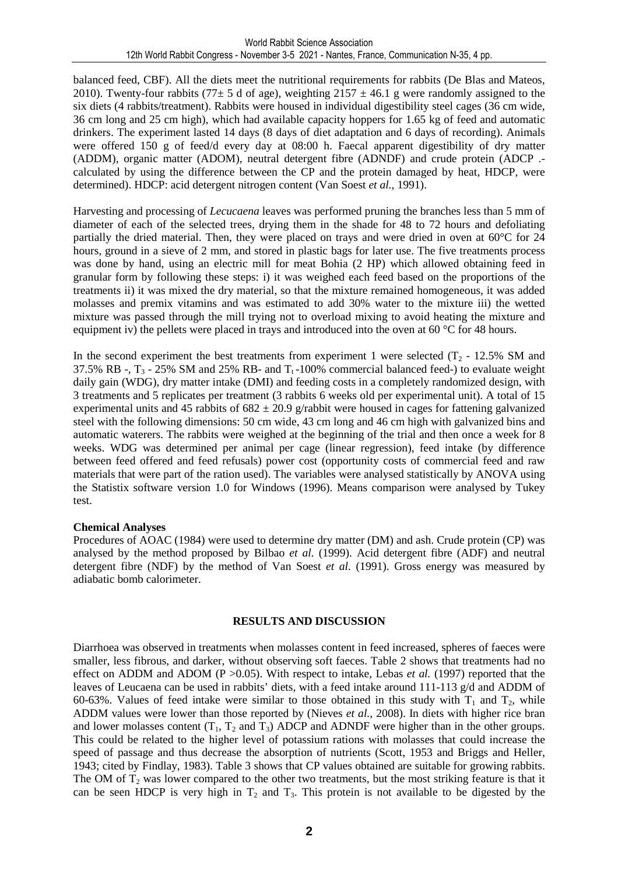balanced feed, CBF). All the diets meet the nutritional requirements for rabbits (De Blas and Mateos, 2010). Twenty-four rabbits (77 $\pm$  5 d of age), weighting 2157  $\pm$  46.1 g were randomly assigned to the six diets (4 rabbits/treatment). Rabbits were housed in individual digestibility steel cages (36 cm wide, 36 cm long and 25 cm high), which had available capacity hoppers for 1.65 kg of feed and automatic drinkers. The experiment lasted 14 days (8 days of diet adaptation and 6 days of recording). Animals were offered 150 g of feed/d every day at 08:00 h. Faecal apparent digestibility of dry matter (ADDM), organic matter (ADOM), neutral detergent fibre (ADNDF) and crude protein (ADCP . calculated by using the difference between the CP and the protein damaged by heat, HDCP, were determined). HDCP: acid detergent nitrogen content (Van Soest *et al.,* 1991).

Harvesting and processing of *Lecucaena* leaves was performed pruning the branches less than 5 mm of diameter of each of the selected trees, drying them in the shade for 48 to 72 hours and defoliating partially the dried material. Then, they were placed on trays and were dried in oven at 60°C for 24 hours, ground in a sieve of 2 mm, and stored in plastic bags for later use. The five treatments process was done by hand, using an electric mill for meat Bohia (2 HP) which allowed obtaining feed in granular form by following these steps: i) it was weighed each feed based on the proportions of the treatments ii) it was mixed the dry material, so that the mixture remained homogeneous, it was added molasses and premix vitamins and was estimated to add 30% water to the mixture iii) the wetted mixture was passed through the mill trying not to overload mixing to avoid heating the mixture and equipment iv) the pellets were placed in trays and introduced into the oven at 60 °C for 48 hours.

In the second experiment the best treatments from experiment 1 were selected  $(T_2 - 12.5\%$  SM and 37.5% RB -,  $T_3$  - 25% SM and 25% RB- and  $T_1$ -100% commercial balanced feed-) to evaluate weight daily gain (WDG), dry matter intake (DMI) and feeding costs in a completely randomized design, with 3 treatments and 5 replicates per treatment (3 rabbits 6 weeks old per experimental unit). A total of 15 experimental units and 45 rabbits of  $682 \pm 20.9$  g/rabbit were housed in cages for fattening galvanized steel with the following dimensions: 50 cm wide, 43 cm long and 46 cm high with galvanized bins and automatic waterers. The rabbits were weighed at the beginning of the trial and then once a week for 8 weeks. WDG was determined per animal per cage (linear regression), feed intake (by difference between feed offered and feed refusals) power cost (opportunity costs of commercial feed and raw materials that were part of the ration used). The variables were analysed statistically by ANOVA using the Statistix software version 1.0 for Windows (1996). Means comparison were analysed by Tukey test.

#### **Chemical Analyses**

Procedures of AOAC (1984) were used to determine dry matter (DM) and ash. Crude protein (CP) was analysed by the method proposed by Bilbao *et al.* (1999). Acid detergent fibre (ADF) and neutral detergent fibre (NDF) by the method of Van Soest *et al.* (1991). Gross energy was measured by adiabatic bomb calorimeter.

#### **RESULTS AND DISCUSSION**

Diarrhoea was observed in treatments when molasses content in feed increased, spheres of faeces were smaller, less fibrous, and darker, without observing soft faeces. Table 2 shows that treatments had no effect on ADDM and ADOM (P > 0.05). With respect to intake, Lebas *et al.* (1997) reported that the leaves of Leucaena can be used in rabbits' diets, with a feed intake around 111-113 g/d and ADDM of 60-63%. Values of feed intake were similar to those obtained in this study with  $T_1$  and  $T_2$ , while ADDM values were lower than those reported by (Nieves *et al.,* 2008). In diets with higher rice bran and lower molasses content  $(T_1, T_2 \text{ and } T_3)$  ADCP and ADNDF were higher than in the other groups. This could be related to the higher level of potassium rations with molasses that could increase the speed of passage and thus decrease the absorption of nutrients (Scott, 1953 and Briggs and Heller, 1943; cited by Findlay, 1983). Table 3 shows that CP values obtained are suitable for growing rabbits. The OM of  $T_2$  was lower compared to the other two treatments, but the most striking feature is that it can be seen HDCP is very high in  $T_2$  and  $T_3$ . This protein is not available to be digested by the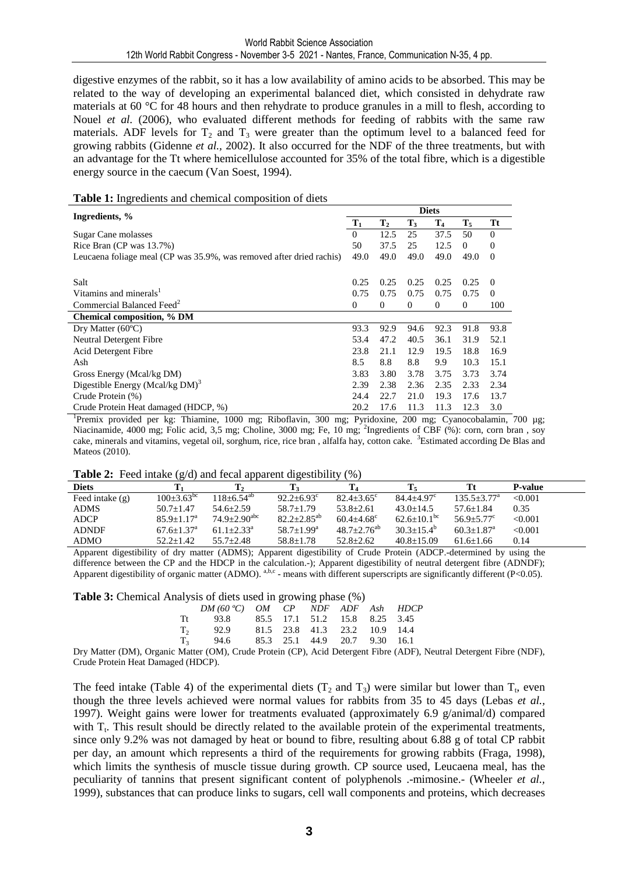digestive enzymes of the rabbit, so it has a low availability of amino acids to be absorbed. This may be related to the way of developing an experimental balanced diet, which consisted in dehydrate raw materials at 60 °C for 48 hours and then rehydrate to produce granules in a mill to flesh, according to Nouel *et al.* (2006), who evaluated different methods for feeding of rabbits with the same raw materials. ADF levels for  $T_2$  and  $T_3$  were greater than the optimum level to a balanced feed for growing rabbits (Gidenne *et al.,* 2002). It also occurred for the NDF of the three treatments, but with an advantage for the Tt where hemicellulose accounted for 35% of the total fibre, which is a digestible energy source in the caecum (Van Soest, 1994).

#### **Table 1:** Ingredients and chemical composition of diets

| Ingredients, %                                                       |                | <b>Diets</b>   |                |                |                  |          |  |  |
|----------------------------------------------------------------------|----------------|----------------|----------------|----------------|------------------|----------|--|--|
|                                                                      | $\mathbf{T}_1$ | $\mathbf{T}_2$ | T <sub>3</sub> | $\mathbf{T_4}$ | $\mathbf{T}_{5}$ | Tt       |  |  |
| Sugar Cane molasses                                                  | $\Omega$       | 12.5           | 25             | 37.5           | 50               | $\Omega$ |  |  |
| Rice Bran ( $CP$ was $13.7\%$ )                                      | 50             | 37.5           | 25             | 12.5           | $\Omega$         | $\theta$ |  |  |
| Leucaena foliage meal (CP was 35.9%, was removed after dried rachis) | 49.0           | 49.0           | 49.0           | 49.0           | 49.0             | $\Omega$ |  |  |
| Salt                                                                 | 0.25           | 0.25           | 0.25           | 0.25           | 0.25             | $\Omega$ |  |  |
| Vitamins and minerals <sup>1</sup>                                   | 0.75           | 0.75           | 0.75           | 0.75           | 0.75             | $\left($ |  |  |
| Commercial Balanced Feed <sup>2</sup>                                | $\mathbf{0}$   | $\theta$       | $\theta$       | $\mathbf{0}$   | $\theta$         | 100      |  |  |
| <b>Chemical composition, % DM</b>                                    |                |                |                |                |                  |          |  |  |
| Dry Matter $(60^{\circ}C)$                                           | 93.3           | 92.9           | 94.6           | 92.3           | 91.8             | 93.8     |  |  |
| Neutral Detergent Fibre                                              | 53.4           | 47.2           | 40.5           | 36.1           | 31.9             | 52.1     |  |  |
| Acid Detergent Fibre                                                 | 23.8           | 21.1           | 12.9           | 19.5           | 18.8             | 16.9     |  |  |
| Ash                                                                  | 8.5            | 8.8            | 8.8            | 9.9            | 10.3             | 15.1     |  |  |
| Gross Energy (Mcal/kg DM)                                            | 3.83           | 3.80           | 3.78           | 3.75           | 3.73             | 3.74     |  |  |
| Digestible Energy (Mcal/kg $DM$ ) <sup>3</sup>                       | 2.39           | 2.38           | 2.36           | 2.35           | 2.33             | 2.34     |  |  |
| Crude Protein (%)                                                    | 24.4           | 22.7           | 21.0           | 19.3           | 17.6             | 13.7     |  |  |
| Crude Protein Heat damaged (HDCP, %)                                 | 20.2           | 17.6           | 11.3           | 11.3           | 12.3             | 3.0      |  |  |

1 Premix provided per kg: Thiamine, 1000 mg; Riboflavin, 300 mg; Pyridoxine, 200 mg; Cyanocobalamin, 700 µg; Niacinamide, 4000 mg; Folic acid, 3,5 mg; Choline, 3000 mg; Fe, 10 mg; <sup>2</sup>Ingredients of CBF (%): corn, corn bran, soy cake, minerals and vitamins, vegetal oil, sorghum, rice, rice bran, alfalfa hay, cotton cake. <sup>3</sup>Estimated according De Blas and Mateos (2010).

**Table 2:** Feed intake  $(\alpha/d)$  and fecal apparent digestibility  $(\%)$ 

| $\frac{1}{2}$ and $\frac{1}{2}$ code matrix $\left(\frac{1}{2}\right)$ and recall apparent argeometric $\left(\frac{1}{2}\right)$ |                            |                              |                       |                       |                               |                             |                |  |  |
|-----------------------------------------------------------------------------------------------------------------------------------|----------------------------|------------------------------|-----------------------|-----------------------|-------------------------------|-----------------------------|----------------|--|--|
| <b>Diets</b>                                                                                                                      |                            |                              |                       |                       |                               |                             | <b>P-value</b> |  |  |
| Feed intake $(g)$                                                                                                                 | $100+3.63^{bc}$            | $118+6.54^{ab}$              | $92.2 + 6.93^{\circ}$ | $82.4 + 3.65^{\circ}$ | $84.4 + 4.97$ <sup>c</sup>    | $135.5 + 3.77^{\mathrm{a}}$ | < 0.001        |  |  |
| <b>ADMS</b>                                                                                                                       | $50.7 + 1.47$              | $54.6 + 2.59$                | $58.7 + 1.79$         | $53.8 \pm 2.61$       | $43.0 + 14.5$                 | $57.6 \pm 1.84$             | 0.35           |  |  |
| <b>ADCP</b>                                                                                                                       | $85.9 + 1.17a$             | $74.9 + 2.90$ <sup>abc</sup> | $82.2 \pm 2.85^{ab}$  | $60.4 + 4.68^{\circ}$ | $62.6 \pm 10.1$ <sup>bc</sup> | $56.9 + 5.77$ <sup>c</sup>  | < 0.001        |  |  |
| <b>ADNDF</b>                                                                                                                      | $67.6 + 1.37$ <sup>a</sup> | $61.1 + 2.33^{\circ}$        | $58.7+1.99^{\rm a}$   | $48.7 + 2.76^{ab}$    | $30.3 + 15.4^b$               | $60.3 + 1.87$ <sup>a</sup>  | < 0.001        |  |  |
| <b>ADMO</b>                                                                                                                       | $52.2 \pm 1.42$            | $55.7 + 2.48$                | $58.8 \pm 1.78$       | $52.8 + 2.62$         | $40.8 \pm 15.09$              | $61.6 \pm 1.66$             | 0.14           |  |  |

Apparent digestibility of dry matter (ADMS); Apparent digestibility of Crude Protein (ADCP.-determined by using the difference between the CP and the HDCP in the calculation.-); Apparent digestibility of neutral detergent fibre (ADNDF); Apparent digestibility of organic matter (ADMO). <sup>a,b,c</sup> - means with different superscripts are significantly different (P<0.05).

**Table 3:** Chemical Analysis of diets used in growing phase (%)

| $\frac{1}{2}$ or $\frac{1}{2}$ and $\frac{1}{2}$ and $\frac{1}{2}$ and $\frac{1}{2}$ and $\frac{1}{2}$ and $\frac{1}{2}$ and $\frac{1}{2}$ and $\frac{1}{2}$ and $\frac{1}{2}$ and $\frac{1}{2}$ and $\frac{1}{2}$ and $\frac{1}{2}$ and $\frac{1}{2}$ and $\frac{1}{2}$ and $\frac{1}{2}$ an |  |                               |  |  |
|-----------------------------------------------------------------------------------------------------------------------------------------------------------------------------------------------------------------------------------------------------------------------------------------------|--|-------------------------------|--|--|
| $DM(60 °C)$ OM CP NDF ADF Ash HDCP                                                                                                                                                                                                                                                            |  |                               |  |  |
| Tt 93.8 85.5 17.1 51.2 15.8 8.25 3.45                                                                                                                                                                                                                                                         |  |                               |  |  |
| $T_2$ , 92.9                                                                                                                                                                                                                                                                                  |  | 81.5 23.8 41.3 23.2 10.9 14.4 |  |  |
| $T_3$ 94.6                                                                                                                                                                                                                                                                                    |  | 85.3 25.1 44.9 20.7 9.30 16.1 |  |  |
|                                                                                                                                                                                                                                                                                               |  |                               |  |  |

Dry Matter (DM), Organic Matter (OM), Crude Protein (CP), Acid Detergent Fibre (ADF), Neutral Detergent Fibre (NDF), Crude Protein Heat Damaged (HDCP).

The feed intake (Table 4) of the experimental diets  $(T_2 \text{ and } T_3)$  were similar but lower than  $T_1$ , even though the three levels achieved were normal values for rabbits from 35 to 45 days (Lebas *et al.,* 1997). Weight gains were lower for treatments evaluated (approximately 6.9 g/animal/d) compared with  $T_t$ . This result should be directly related to the available protein of the experimental treatments, since only 9.2% was not damaged by heat or bound to fibre, resulting about 6.88 g of total CP rabbit per day, an amount which represents a third of the requirements for growing rabbits (Fraga, 1998), which limits the synthesis of muscle tissue during growth. CP source used, Leucaena meal, has the peculiarity of tannins that present significant content of polyphenols .-mimosine.- (Wheeler *et al.,* 1999), substances that can produce links to sugars, cell wall components and proteins, which decreases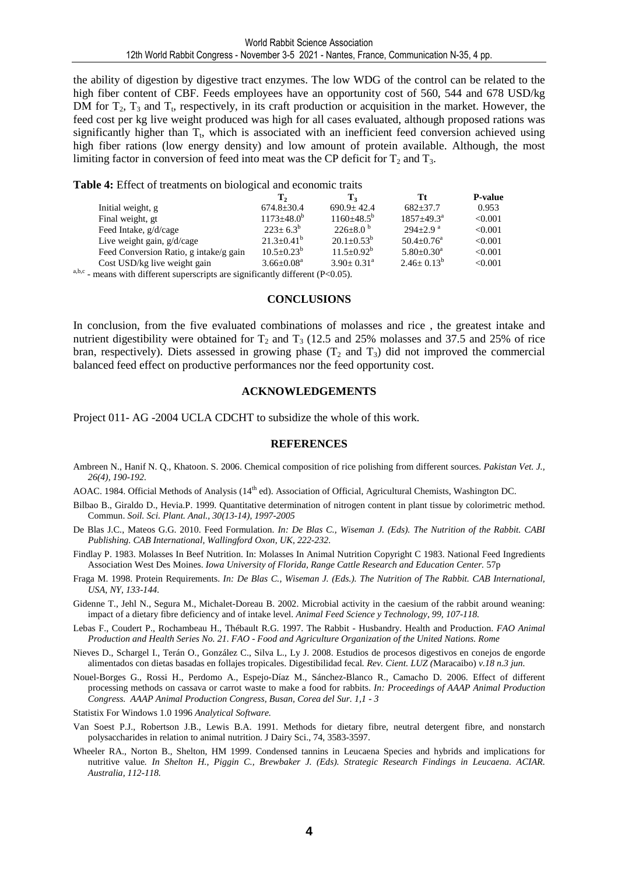the ability of digestion by digestive tract enzymes. The low WDG of the control can be related to the high fiber content of CBF. Feeds employees have an opportunity cost of 560, 544 and 678 USD/kg DM for  $T_2$ ,  $T_3$  and  $T_t$ , respectively, in its craft production or acquisition in the market. However, the feed cost per kg live weight produced was high for all cases evaluated, although proposed rations was significantly higher than  $T_t$ , which is associated with an inefficient feed conversion achieved using high fiber rations (low energy density) and low amount of protein available. Although, the most limiting factor in conversion of feed into meat was the CP deficit for  $T_2$  and  $T_3$ .

**Table 4:** Effect of treatments on biological and economic traits

|                                                                                                 | Т,                         | Т,                         | Тt                           | <b>P-value</b> |
|-------------------------------------------------------------------------------------------------|----------------------------|----------------------------|------------------------------|----------------|
| Initial weight, g                                                                               | $674.8 \pm 30.4$           | $690.9 + 42.4$             | $682 + 37.7$                 | 0.953          |
| Final weight, gt.                                                                               | $1173 \pm 48.0^b$          | $1160 \pm 48.5^{\rm b}$    | $1857 + 49.3^{\circ}$        | < 0.001        |
| Feed Intake, g/d/cage                                                                           | $223+6.3^{b}$              | $226+8.0^{\circ}$          | $294+2.9$ <sup>a</sup>       | < 0.001        |
| Live weight gain, $g/d/cage$                                                                    | $21.3+0.41^b$              | $20.1 \pm 0.53^b$          | $50.4 + 0.76^{\circ}$        | < 0.001        |
| Feed Conversion Ratio, g intake/g gain                                                          | $10.5 + 0.23^b$            | $11.5 \pm 0.92^b$          | $5.80 \pm 0.30$ <sup>a</sup> | < 0.001        |
| Cost USD/kg live weight gain                                                                    | $3.66 \pm 0.08^{\text{a}}$ | $3.90 \pm 0.31^{\text{a}}$ | $2.46 \pm 0.13^b$            | < 0.001        |
| b.c $\alpha$ and $\alpha$ is the set of $\alpha$ is the set of $\alpha$ is $\alpha$ is $\alpha$ |                            |                            |                              |                |

<sup>a,b,c</sup> - means with different superscripts are significantly different (P<0.05).

#### **CONCLUSIONS**

In conclusion, from the five evaluated combinations of molasses and rice , the greatest intake and nutrient digestibility were obtained for  $T_2$  and  $T_3$  (12.5 and 25% molasses and 37.5 and 25% of rice bran, respectively). Diets assessed in growing phase  $(T_2 \text{ and } T_3)$  did not improved the commercial balanced feed effect on productive performances nor the feed opportunity cost.

#### **ACKNOWLEDGEMENTS**

Project 011- AG -2004 UCLA CDCHT to subsidize the whole of this work.

#### **REFERENCES**

- Ambreen N., Hanif N. Q., Khatoon. S. 2006. Chemical composition of rice polishing from different sources. *Pakistan Vet. J., 26(4), 190-192.*
- AOAC. 1984. Official Methods of Analysis (14<sup>th</sup> ed). Association of Official, Agricultural Chemists, Washington DC.
- Bilbao B., Giraldo D., Hevia.P. 1999. Quantitative determination of nitrogen content in plant tissue by colorimetric method. Commun. *Soil. Sci. Plant. Anal., 30(13-14), 1997-2005*
- De Blas J.C., Mateos G.G. 2010. Feed Formulation. *In: De Blas C., Wiseman J. (Eds). The Nutrition of the Rabbit. CABI Publishing. CAB International, Wallingford Oxon, UK, 222-232.*
- Findlay P. 1983. Molasses In Beef Nutrition. In: Molasses In Animal Nutrition Copyright C 1983. National Feed Ingredients Association West Des Moines. *Iowa University of Florida, Range Cattle Research and Education Center.* 57p
- Fraga M. 1998. Protein Requirements. *In: De Blas C., Wiseman J. (Eds.). The Nutrition of The Rabbit. CAB International, USA, NY, 133-144.*
- Gidenne T., Jehl N., Segura M., Michalet-Doreau B. 2002. Microbial activity in the caesium of the rabbit around weaning: impact of a dietary fibre deficiency and of intake level. *Animal Feed Science y Technology, 99, 107-118.*
- Lebas F., Coudert P., Rochambeau H., Thébault R.G. 1997. The Rabbit Husbandry. Health and Production. *FAO Animal Production and Health Series No. 21. FAO - Food and Agriculture Organization of the United Nations. Rome*
- Nieves D., Schargel I., Terán O., González C., Silva L., Ly J. 2008. Estudios de procesos digestivos en conejos de engorde alimentados con dietas basadas en follajes tropicales. Digestibilidad fecal*. Rev. Cient. LUZ (*Maracaibo) *v.18 n.3 jun.*
- Nouel-Borges G., Rossi H., Perdomo A., Espejo-Díaz M., Sánchez-Blanco R., Camacho D. 2006. Effect of different processing methods on cassava or carrot waste to make a food for rabbits. *In: Proceedings of AAAP Animal Production Congress. AAAP Animal Production Congress, Busan, Corea del Sur. 1,1 - 3*
- Statistix For Windows 1.0 1996 *Analytical Software.*
- Van Soest P.J., Robertson J.B., Lewis B.A. 1991. Methods for dietary fibre, neutral detergent fibre, and nonstarch polysaccharides in relation to animal nutrition. J Dairy Sci., 74, 3583-3597.
- Wheeler RA., Norton B., Shelton, HM 1999. Condensed tannins in Leucaena Species and hybrids and implications for nutritive value*. In Shelton H., Piggin C., Brewbaker J. (Eds). Strategic Research Findings in Leucaena. ACIAR. Australia, 112-118.*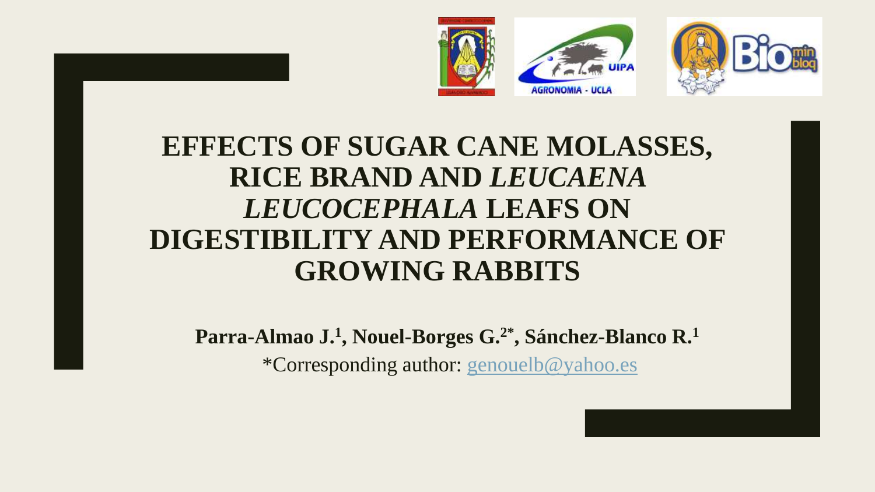



# **EFFECTS OF SUGAR CANE MOLASSES, RICE BRAND AND** *LEUCAENA LEUCOCEPHALA* **LEAFS ON DIGESTIBILITY AND PERFORMANCE OF GROWING RABBITS**

**Parra-Almao J.<sup>1</sup> , Nouel-Borges G.2\*, Sánchez-Blanco R.<sup>1</sup>**

\*Corresponding author: [genouelb@yahoo.es](mailto:genouelb@yahoo.es)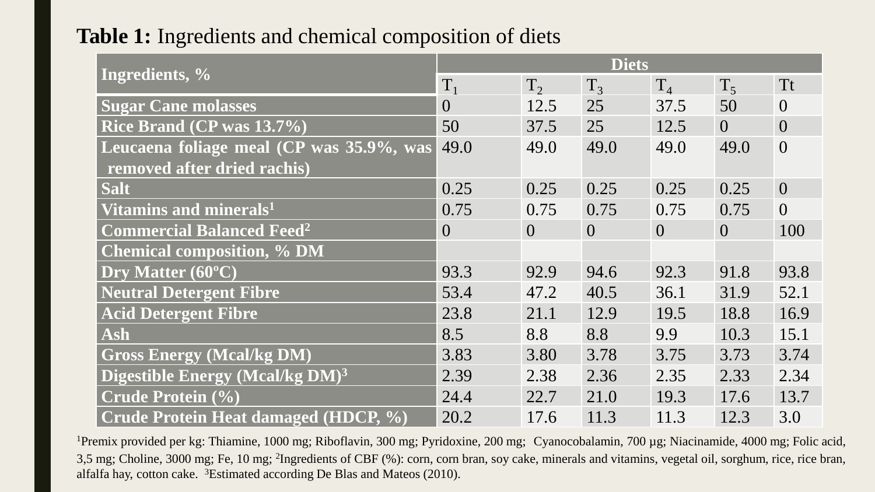## **Table 1:** Ingredients and chemical composition of diets

|                                             | <b>Diets</b>   |          |          |          |          |                |  |
|---------------------------------------------|----------------|----------|----------|----------|----------|----------------|--|
| Ingredients, %                              | $T_1$          | $T_{2}$  | $T_3$    | $T_4$    | $T_5$    | <b>Tt</b>      |  |
| <b>Sugar Cane molasses</b>                  | $\overline{0}$ | 12.5     | 25       | 37.5     | 50       | $\overline{0}$ |  |
| Rice Brand (CP was 13.7%)                   | 50             | 37.5     | 25       | 12.5     | $\Omega$ | $\overline{0}$ |  |
| Leucaena foliage meal (CP was 35.9%, was    | 49.0           | 49.0     | 49.0     | 49.0     | 49.0     | $\overline{0}$ |  |
| removed after dried rachis)                 |                |          |          |          |          |                |  |
| <b>Salt</b>                                 | 0.25           | 0.25     | 0.25     | 0.25     | 0.25     | $\overline{0}$ |  |
| Vitamins and minerals <sup>1</sup>          | 0.75           | 0.75     | 0.75     | 0.75     | 0.75     | $\overline{0}$ |  |
| <b>Commercial Balanced Feed<sup>2</sup></b> | $\overline{0}$ | $\Omega$ | $\Omega$ | $\Omega$ | $\Omega$ | 100            |  |
| <b>Chemical composition, % DM</b>           |                |          |          |          |          |                |  |
| Dry Matter (60°C)                           | 93.3           | 92.9     | 94.6     | 92.3     | 91.8     | 93.8           |  |
| <b>Neutral Detergent Fibre</b>              | 53.4           | 47.2     | 40.5     | 36.1     | 31.9     | 52.1           |  |
| <b>Acid Detergent Fibre</b>                 | 23.8           | 21.1     | 12.9     | 19.5     | 18.8     | 16.9           |  |
| Ash                                         | 8.5            | 8.8      | 8.8      | 9.9      | 10.3     | 15.1           |  |
| <b>Gross Energy (Mcal/kg DM)</b>            | 3.83           | 3.80     | 3.78     | 3.75     | 3.73     | 3.74           |  |
| Digestible Energy (Mcal/kg DM) <sup>3</sup> | 2.39           | 2.38     | 2.36     | 2.35     | 2.33     | 2.34           |  |
| <b>Crude Protein (%)</b>                    | 24.4           | 22.7     | 21.0     | 19.3     | 17.6     | 13.7           |  |
| Crude Protein Heat damaged (HDCP, %)        | 20.2           | 17.6     | 11.3     | 11.3     | 12.3     | 3.0            |  |

<sup>1</sup>Premix provided per kg: Thiamine, 1000 mg; Riboflavin, 300 mg; Pyridoxine, 200 mg; Cyanocobalamin, 700 µg; Niacinamide, 4000 mg; Folic acid, 3,5 mg; Choline, 3000 mg; Fe, 10 mg; 2 Ingredients of CBF (%): corn, corn bran, soy cake, minerals and vitamins, vegetal oil, sorghum, rice, rice bran, alfalfa hay, cotton cake. <sup>3</sup>Estimated according De Blas and Mateos (2010).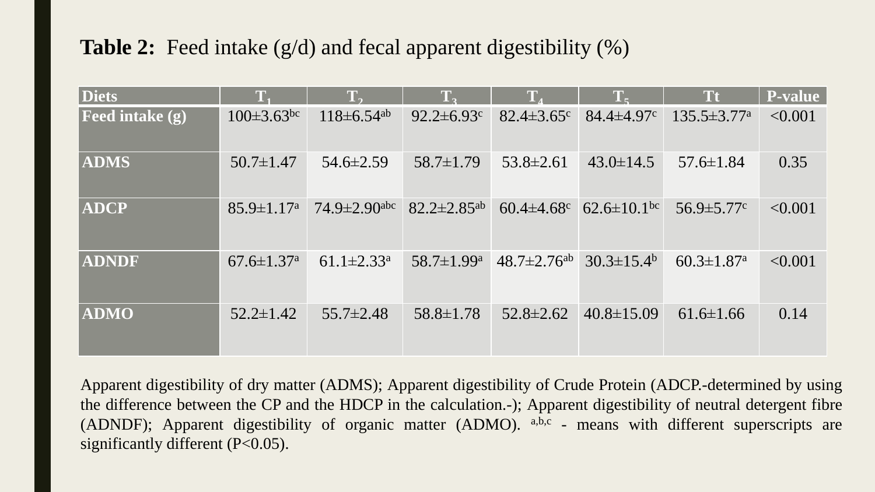## **Table 2:** Feed intake (g/d) and fecal apparent digestibility (%)

| <b>Diets</b>           | $T_{1}$                      | $\mathbf{T}_{2}$             | $T_{2}$                       | $T_{4}$                       | $T_{\epsilon}$                | <b>Tt</b>                     | <b>P-value</b> |
|------------------------|------------------------------|------------------------------|-------------------------------|-------------------------------|-------------------------------|-------------------------------|----------------|
| <b>Feed intake (g)</b> | $100 \pm 3.63$ <sup>bc</sup> | $118 \pm 6.54$ <sup>ab</sup> | $92.2 \pm 6.93$ <sup>c</sup>  | $82.4 \pm 3.65$ °             | $84.4 \pm 4.97$               | $135.5 \pm 3.77^{\mathrm{a}}$ | < 0.001        |
| <b>ADMS</b>            | $50.7 \pm 1.47$              | $54.6 \pm 2.59$              | $58.7 \pm 1.79$               | $53.8 \pm 2.61$               | $43.0 \pm 14.5$               | $57.6 \pm 1.84$               | 0.35           |
| <b>ADCP</b>            | $85.9 \pm 1.17$ <sup>a</sup> | $74.9 \pm 2.90$ abc          | $82.2 \pm 2.85$ <sup>ab</sup> | $60.4 \pm 4.68$               | $62.6 \pm 10.1$ <sup>bc</sup> | $56.9 \pm 5.77$ <sup>c</sup>  | < 0.001        |
| <b>ADNDF</b>           | $67.6 \pm 1.37$ <sup>a</sup> | $61.1 \pm 2.33$ <sup>a</sup> | 58.7 $\pm$ 1.99 $a$           | $48.7 \pm 2.76$ <sup>ab</sup> | $30.3 \pm 15.4^{\rm b}$       | $60.3 \pm 1.87$ <sup>a</sup>  | < 0.001        |
| <b>ADMO</b>            | $52.2 \pm 1.42$              | $55.7 \pm 2.48$              | $58.8 \pm 1.78$               | $52.8 \pm 2.62$               | $40.8 \pm 15.09$              | $61.6 \pm 1.66$               | 0.14           |

Apparent digestibility of dry matter (ADMS); Apparent digestibility of Crude Protein (ADCP.-determined by using the difference between the CP and the HDCP in the calculation.-); Apparent digestibility of neutral detergent fibre (ADNDF); Apparent digestibility of organic matter (ADMO). a,b,c - means with different superscripts are significantly different (P<0.05).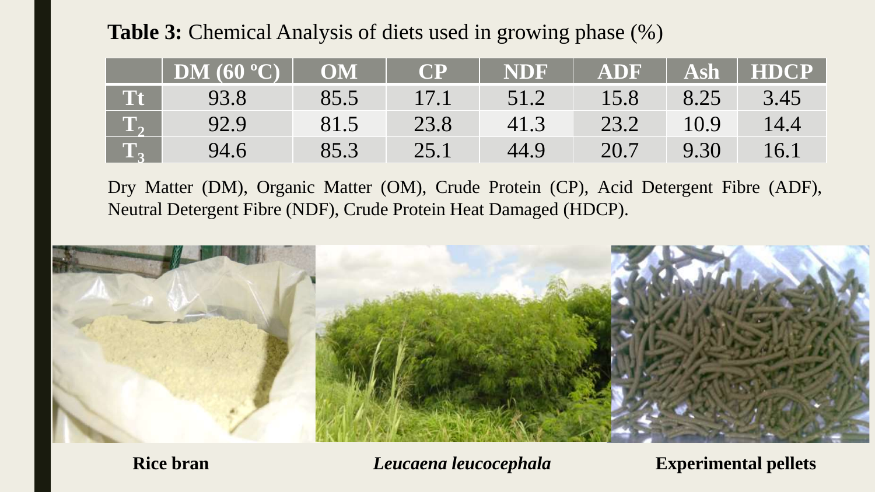**Table 3:** Chemical Analysis of diets used in growing phase (%)

|                  | DM $(60 °C)$ | OM   | <b>CP</b> | NDF  | <b>ADF</b> | <b>Ash</b> | <b>HDCP</b> |
|------------------|--------------|------|-----------|------|------------|------------|-------------|
|                  | 93.8         | 85.5 | 17.1      | 51.2 | 15.8       | 8.25       | 3.45        |
| $\mathbf{T}_{2}$ | 92.9         | 81.5 | 23.8      | 41.3 | 23.2       | 10.9       | 14.4        |
| <b>TA</b>        | 94.6         | 85.3 | 25.1      | 44.9 | 20.7       | 9.30       | 16.1        |

Dry Matter (DM), Organic Matter (OM), Crude Protein (CP), Acid Detergent Fibre (ADF), Neutral Detergent Fibre (NDF), Crude Protein Heat Damaged (HDCP).



**Rice bran** *Leucaena leucocephala* **Experimental pellets**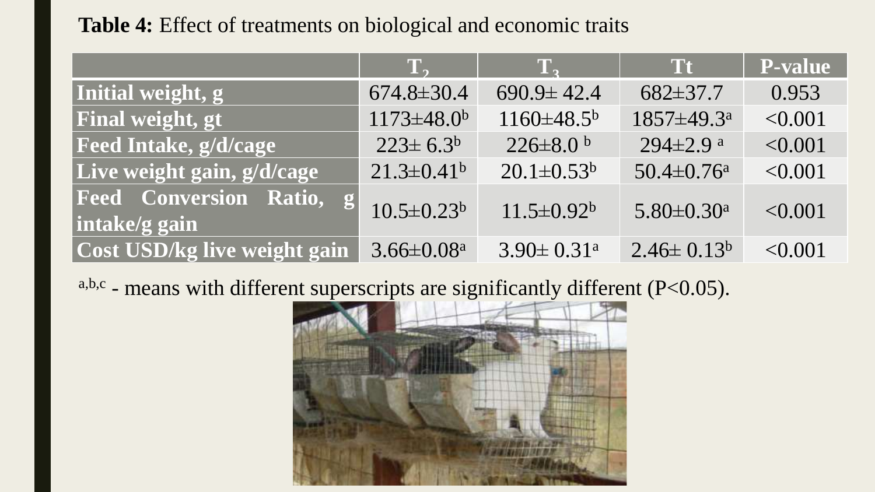## **Table 4:** Effect of treatments on biological and economic traits

|                                                       | $\mathbf{T}_{2}$             | $\mathbf{T}_{2}$             | <b>Tt</b>                    | <b>P-value</b> |
|-------------------------------------------------------|------------------------------|------------------------------|------------------------------|----------------|
| Initial weight, g                                     | $674.8 \pm 30.4$             | $690.9 \pm 42.4$             | $682 \pm 37.7$               | 0.953          |
| Final weight, gt                                      | $1173 \pm 48.0^b$            | $1160 \pm 48.5^{\circ}$      | 1857±49.3 <sup>a</sup>       | < 0.001        |
| Feed Intake, g/d/cage                                 | $223 \pm 6.3^b$              | $226 \pm 8.0$ b              | $294 \pm 2.9$ <sup>a</sup>   | < 0.001        |
| Live weight gain, g/d/cage                            | $21.3 \pm 0.41$ <sup>b</sup> | $20.1 \pm 0.53^b$            | $50.4 \pm 0.76$ <sup>a</sup> | < 0.001        |
| <b>Feed Conversion Ratio,</b><br> g <br>intake/g gain | $10.5 \pm 0.23$              | $11.5 \pm 0.92^b$            | $5.80 \pm 0.30$ <sup>a</sup> | < 0.001        |
| <b>Cost USD/kg live weight gain</b>                   | $3.66 \pm 0.08^a$            | $3.90 \pm 0.31$ <sup>a</sup> | $2.46 \pm 0.13^b$            | < 0.001        |

 $a,b,c$  - means with different superscripts are significantly different (P<0.05).